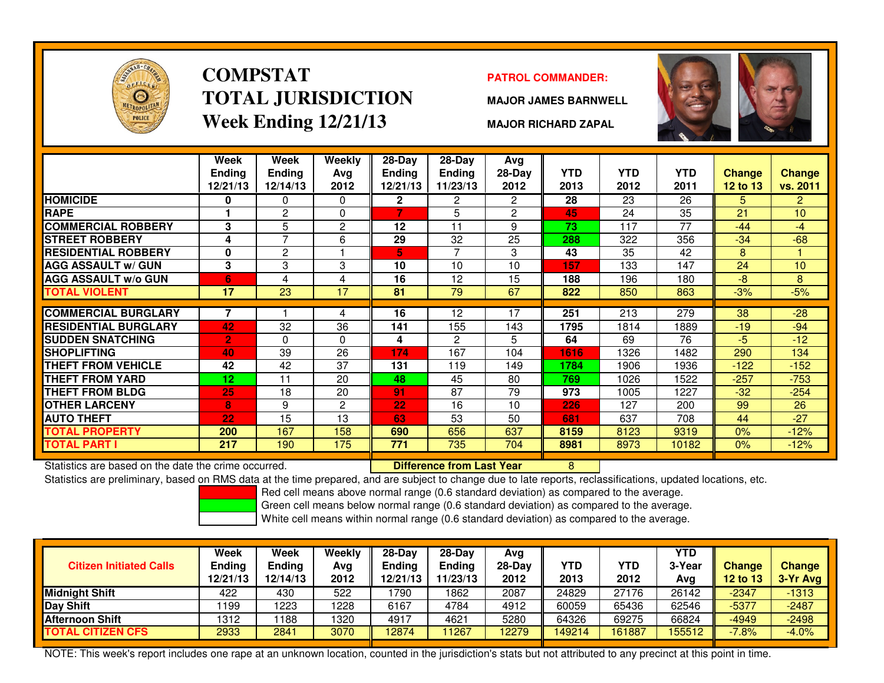

# **COMPSTATTOTAL JURISDICTIONWeek Ending 12/21/13**

### **PATROL COMMANDER:**

**MAJOR JAMES BARNWELL**



**MAJOR RICHARD ZAPAL**

|                             | Week<br><b>Ending</b><br>12/21/13 | Week<br><b>Ending</b><br>12/14/13 | Weekly<br>Ava<br>2012 | $28-Day$<br>Ending<br>12/21/13 | $28-Dav$<br><b>Ending</b><br>11/23/13 | Avg<br>$28-Day$<br>2012 | <b>YTD</b><br>2013 | <b>YTD</b><br>2012 | YTD.<br>2011 | <b>Change</b><br>12 to 13 | Change<br>vs. 2011 |
|-----------------------------|-----------------------------------|-----------------------------------|-----------------------|--------------------------------|---------------------------------------|-------------------------|--------------------|--------------------|--------------|---------------------------|--------------------|
| <b>HOMICIDE</b>             | 0                                 | 0                                 | $\Omega$              | $\mathbf{2}$                   | $\overline{2}$                        | $\overline{2}$          | 28                 | 23                 | 26           | 5                         | $\overline{2}$     |
| <b>RAPE</b>                 |                                   | $\overline{c}$                    | 0                     | 7                              | 5                                     | $\overline{2}$          | 45                 | 24                 | 35           | 21                        | 10                 |
| <b>COMMERCIAL ROBBERY</b>   | 3                                 | 5                                 | 2                     | 12                             | 11                                    | 9                       | 73                 | 117                | 77           | $-44$                     | -4                 |
| <b>STREET ROBBERY</b>       | 4                                 | ⇁                                 | 6                     | 29                             | 32                                    | 25                      | 288                | 322                | 356          | $-34$                     | $-68$              |
| <b>RESIDENTIAL ROBBERY</b>  | 0                                 | 2                                 |                       | 5                              | 7                                     | 3                       | 43                 | 35                 | 42           | 8                         |                    |
| <b>AGG ASSAULT w/ GUN</b>   | 3                                 | 3                                 | 3                     | 10                             | 10                                    | 10                      | 157                | 133                | 147          | 24                        | 10                 |
| <b>AGG ASSAULT w/o GUN</b>  | 6                                 | 4                                 | 4                     | 16                             | 12                                    | 15                      | 188                | 196                | 180          | -8                        | 8                  |
| <b>TOTAL VIOLENT</b>        | 17                                | 23                                | 17                    | 81                             | 79                                    | 67                      | 822                | 850                | 863          | $-3%$                     | $-5%$              |
|                             |                                   |                                   |                       |                                |                                       |                         |                    |                    |              |                           |                    |
| <b>COMMERCIAL BURGLARY</b>  | 7                                 |                                   | 4                     | 16                             | 12                                    | 17                      | 251                | 213                | 279          | 38                        | $-28$              |
| <b>RESIDENTIAL BURGLARY</b> | 42                                | 32                                | 36                    | 141                            | 155                                   | 143                     | 1795               | 1814               | 1889         | $-19$                     | $-94$              |
| <b>SUDDEN SNATCHING</b>     | $\overline{2}$                    | 0                                 | $\Omega$              | 4                              | 2                                     | 5                       | 64                 | 69                 | 76           | -5                        | $-12$              |
| <b>SHOPLIFTING</b>          | 40                                | 39                                | 26                    | 174                            | 167                                   | 104                     | 1616               | 1326               | 1482         | 290                       | 134                |
| THEFT FROM VEHICLE          | 42                                | 42                                | 37                    | 131                            | 119                                   | 149                     | 1784               | 1906               | 1936         | $-122$                    | $-152$             |
| <b>THEFT FROM YARD</b>      | 12                                | 11                                | 20                    | 48                             | 45                                    | 80                      | 769                | 1026               | 1522         | $-257$                    | $-753$             |
| <b>THEFT FROM BLDG</b>      | 25                                | 18                                | 20                    | 91                             | 87                                    | 79                      | 973                | 1005               | 1227         | $-32$                     | $-254$             |
| <b>OTHER LARCENY</b>        | 8                                 | 9                                 | 2                     | 22                             | 16                                    | 10                      | 226                | 127                | 200          | 99                        | 26                 |
| <b>AUTO THEFT</b>           | 22                                | 15                                | 13                    | 63                             | 53                                    | 50                      | 681                | 637                | 708          | 44                        | $-27$              |
| <b>TOTAL PROPERTY</b>       | 200                               | 167                               | 158                   | 690                            | 656                                   | 637                     | 8159               | 8123               | 9319         | 0%                        | $-12%$             |
| TOTAL PART I                | 217                               | 190                               | 175                   | 771                            | 735                                   | 704                     | 8981               | 8973               | 10182        | $0\%$                     | $-12%$             |

Statistics are based on the date the crime occurred. **Difference from Last Year** 

Statistics are based on the date the crime occurred. **Extended to the Last Year Mark Condum** Statistics are based on the date time occurred.<br>Statistics are preliminary, based on RMS data at the time prepared, and are subje

Red cell means above normal range (0.6 standard deviation) as compared to the average.

Green cell means below normal range (0.6 standard deviation) as compared to the average.

White cell means within normal range (0.6 standard deviation) as compared to the average.

| <b>Citizen Initiated Calls</b> | Week<br><b>Ending</b><br>12/21/13 | <b>Week</b><br><b>Ending</b><br>2/14/13 | Weekly<br>Avg<br>2012 | $28 - Day$<br>Ending<br>12/21/13 | $28-Dav$<br><b>Ending</b><br>11/23/13 | Avg<br>$28-Dav$<br>2012 | YTD<br>2013 | YTD<br>2012 | <b>YTD</b><br>3-Year<br>Avg | <b>Change</b><br><b>12 to 13</b> | <b>Change</b><br>3-Yr Avg |
|--------------------------------|-----------------------------------|-----------------------------------------|-----------------------|----------------------------------|---------------------------------------|-------------------------|-------------|-------------|-----------------------------|----------------------------------|---------------------------|
| <b>IMidniaht Shift</b>         | 422                               | 430                                     | 522                   | 1790                             | 1862                                  | 2087                    | 24829       | 27176       | 26142                       | $-2347$                          | $-1313$                   |
| Day Shift                      | 199                               | 1223                                    | 1228                  | 6167                             | 4784                                  | 4912                    | 60059       | 65436       | 62546                       | $-5377$                          | $-2487$                   |
| <b>Afternoon Shift</b>         | 1312                              | 188                                     | 1320                  | 4917                             | 4621                                  | 5280                    | 64326       | 69275       | 66824                       | $-4949$                          | $-2498$                   |
| <b>TOTAL CITIZEN CFS</b>       | 2933                              | 2841                                    | 3070                  | 12874                            | 1267                                  | 2279                    | 149214      | 161887      | 155512                      | $-7.8%$                          | $-4.0%$                   |

NOTE: This week's report includes one rape at an unknown location, counted in the jurisdiction's stats but not attributed to any precinct at this point in time.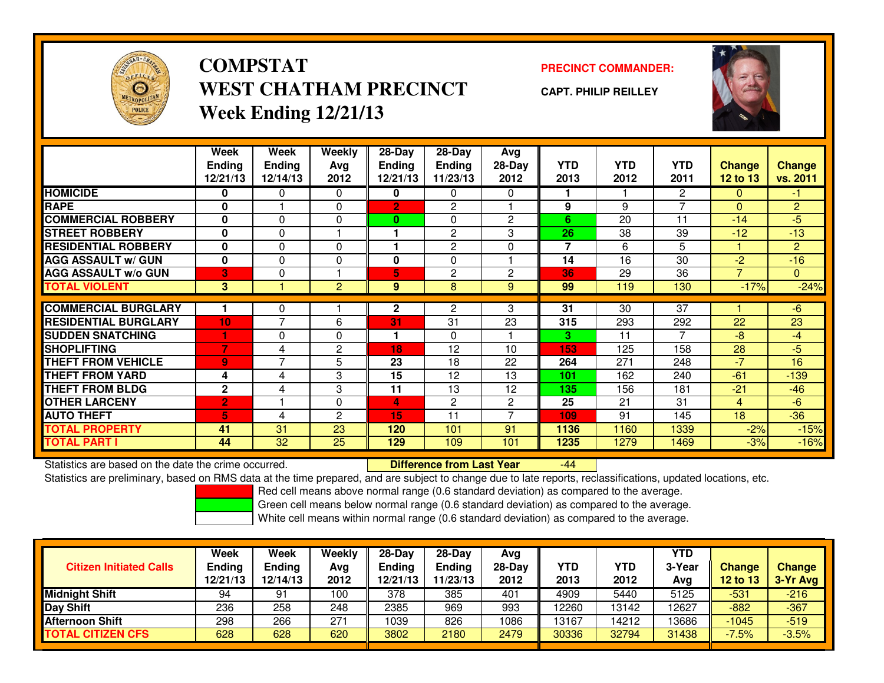

## **COMPSTATPRECINCT COMMANDER:**<br>
PRECINCT COMMANDER: **WEST CHATHAM PRECINCTWeek Ending 12/21/13**

**CAPT. PHILIP REILLEY**



|                             | Week<br><b>Ending</b><br>12/21/13 | Week<br><b>Ending</b><br>12/14/13 | <b>Weekly</b><br>Avg<br>2012 | $28-Day$<br>Ending<br>12/21/13 | $28$ -Day<br><b>Ending</b><br>11/23/13 | Avg<br>28-Day<br>2012 | <b>YTD</b><br>2013 | <b>YTD</b><br>2012 | <b>YTD</b><br>2011 | <b>Change</b><br><b>12 to 13</b> | <b>Change</b><br>vs. 2011 |
|-----------------------------|-----------------------------------|-----------------------------------|------------------------------|--------------------------------|----------------------------------------|-----------------------|--------------------|--------------------|--------------------|----------------------------------|---------------------------|
| <b>HOMICIDE</b>             | 0                                 | 0                                 | 0                            | 0                              | $\mathbf{0}$                           | $\Omega$              |                    |                    | $\overline{2}$     | $\mathbf{0}$                     | $-1$                      |
| <b>RAPE</b>                 | $\bf{0}$                          |                                   | $\Omega$                     | $\mathbf{2}$                   | $\overline{2}$                         |                       | 9                  | 9                  | 7                  | $\Omega$                         | $\overline{2}$            |
| <b>COMMERCIAL ROBBERY</b>   | 0                                 | 0                                 | $\Omega$                     | 0                              | $\mathbf{0}$                           | $\overline{2}$        | 6                  | 20                 | 11                 | $-14$                            | $-5$                      |
|                             |                                   |                                   |                              |                                |                                        |                       |                    |                    |                    |                                  |                           |
| <b>STREET ROBBERY</b>       | $\bf{0}$                          | 0                                 |                              |                                | 2                                      | 3                     | 26                 | 38                 | 39                 | $-12$                            | $-13$                     |
| <b>RESIDENTIAL ROBBERY</b>  | $\bf{0}$                          | 0                                 | $\Omega$                     |                                | 2                                      | $\Omega$              | $\overline{7}$     | 6                  | 5                  |                                  | $\overline{2}$            |
| <b>AGG ASSAULT w/ GUN</b>   | $\bf{0}$                          | 0                                 | $\mathbf 0$                  | $\bf{0}$                       | $\Omega$                               |                       | 14                 | 16                 | 30                 | $-2$                             | $-16$                     |
| <b>AGG ASSAULT W/o GUN</b>  | 3                                 | 0                                 |                              | 5.                             | 2                                      | $\overline{c}$        | 36                 | 29                 | 36                 | 7                                | $\overline{0}$            |
| <b>TOTAL VIOLENT</b>        | 3                                 |                                   | $\overline{2}$               | 9                              | 8                                      | 9                     | 99                 | 119                | 130                | $-17%$                           | $-24%$                    |
|                             |                                   |                                   |                              |                                |                                        |                       |                    |                    |                    |                                  |                           |
| <b>COMMERCIAL BURGLARY</b>  |                                   | 0                                 |                              | $\mathbf{2}$                   | 2                                      | 3                     | 31                 | 30                 | 37                 |                                  | $-6$                      |
| <b>RESIDENTIAL BURGLARY</b> | 10                                | $\overline{\phantom{a}}$          | 6                            | 31                             | 31                                     | 23                    | 315                | 293                | 292                | 22                               | 23                        |
| <b>SUDDEN SNATCHING</b>     |                                   | 0                                 | $\Omega$                     |                                | $\mathbf{0}$                           |                       | 3                  | 11                 | 7                  | $-8$                             | $-4$                      |
| <b>SHOPLIFTING</b>          | 7                                 | 4                                 | 2                            | 18                             | 12                                     | 10                    | 153                | 125                | 158                | 28                               | $-5$                      |
| <b>THEFT FROM VEHICLE</b>   | $\overline{9}$                    | 7                                 | 5                            | 23                             | 18                                     | 22                    | 264                | 271                | 248                | $-7$                             | 16                        |
| <b>THEFT FROM YARD</b>      | 4                                 | 4                                 | 3                            | 15                             | 12                                     | 13                    | 101                | 162                | 240                | $-61$                            | $-139$                    |
| <b>THEFT FROM BLDG</b>      | $\mathbf{2}$                      | 4                                 | 3                            | 11                             | 13                                     | 12                    | 135                | 156                | 181                | $-21$                            | $-46$                     |
| <b>OTHER LARCENY</b>        | $\overline{2}$                    |                                   | $\mathbf 0$                  | 4                              | $\overline{2}$                         | $\overline{2}$        | 25                 | 21                 | 31                 | 4                                | $-6$                      |
| <b>AUTO THEFT</b>           | 5                                 | 4                                 | $\overline{c}$               | 15                             | 11                                     |                       | 109                | 91                 | 145                | 18                               | $-36$                     |
| <b>TOTAL PROPERTY</b>       | 41                                | 31                                | 23                           | 120                            | 101                                    | 91                    | 1136               | 1160               | 1339               | $-2%$                            | $-15%$                    |
| <b>TOTAL PART I</b>         | 44                                | 32                                | 25                           | 129                            | 109                                    | 101                   | 1235               | 1279               | 1469               | $-3%$                            | $-16%$                    |

Statistics are based on the date the crime occurred. **Difference from Last Year** 

-44

Statistics are preliminary, based on RMS data at the time prepared, and are subject to change due to late reports, reclassifications, updated locations, etc.

Red cell means above normal range (0.6 standard deviation) as compared to the average.

Green cell means below normal range (0.6 standard deviation) as compared to the average.

|                                | <b>Week</b>   | Week          | Weekly | $28-Day$      | 28-Dav   | Avg      |            |            | <b>YTD</b> |               |               |
|--------------------------------|---------------|---------------|--------|---------------|----------|----------|------------|------------|------------|---------------|---------------|
| <b>Citizen Initiated Calls</b> | <b>Ending</b> | <b>Ending</b> | Avg    | <b>Ending</b> | Ending   | $28-Dav$ | <b>YTD</b> | <b>YTD</b> | 3-Year     | <b>Change</b> | <b>Change</b> |
|                                | 12/21/13      | 12/14/13      | 2012   | 12/21/13      | 11/23/13 | 2012     | 2013       | 2012       | Avg        | 12 to 13      | 3-Yr Avg      |
| <b>Midnight Shift</b>          | 94            | 91            | 100    | 378           | 385      | 401      | 4909       | 5440       | 5125       | $-531$        | $-216$        |
| Day Shift                      | 236           | 258           | 248    | 2385          | 969      | 993      | 12260      | 13142      | 2627       | $-882$        | $-367$        |
| <b>Afternoon Shift</b>         | 298           | 266           | 271    | 1039          | 826      | 1086     | 13167      | 14212      | 3686       | $-1045$       | $-519$        |
| <b>TOTAL CITIZEN CFS</b>       | 628           | 628           | 620    | 3802          | 2180     | 2479     | 30336      | 32794      | 31438      | $-7.5%$       | $-3.5%$       |
|                                |               |               |        |               |          |          |            |            |            |               |               |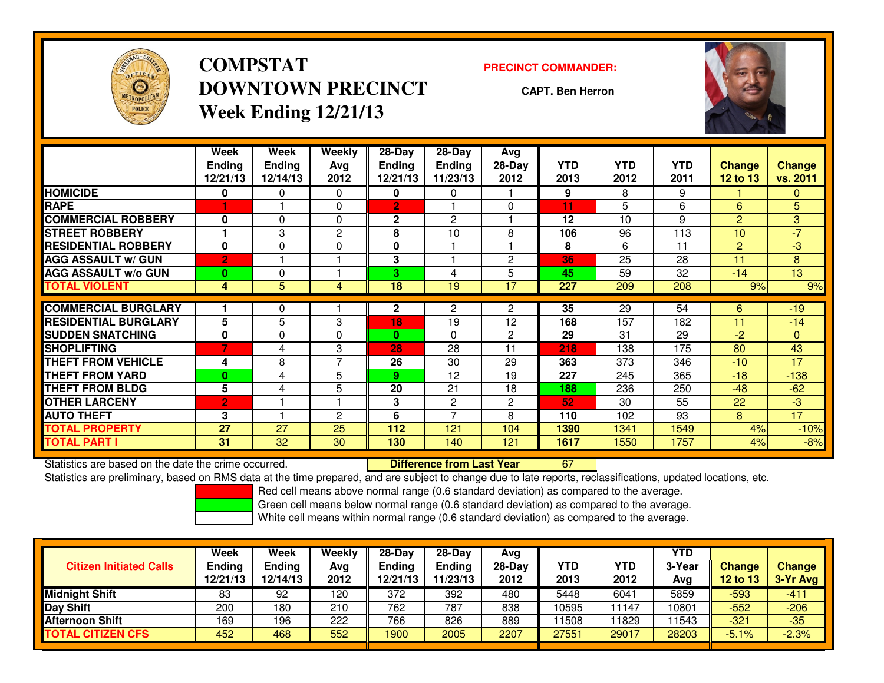

**COMPSTATDOWNTOWN PRECINCTWeek Ending 12/21/13**

### **PRECINCT COMMANDER:**

**CAPT. Ben Herron**

<sup>67</sup>



|                             | Week<br><b>Ending</b><br>12/21/13 | Week<br><b>Ending</b><br>12/14/13 | Weekly<br>Avg<br>2012 | $28$ -Day<br><b>Ending</b><br>12/21/13 | 28-Day<br><b>Ending</b><br>11/23/13 | Avg<br>28-Day<br>2012 | <b>YTD</b><br>2013 | <b>YTD</b><br>2012 | <b>YTD</b><br>2011 | <b>Change</b><br><b>12 to 13</b> | Change<br>vs. 2011 |
|-----------------------------|-----------------------------------|-----------------------------------|-----------------------|----------------------------------------|-------------------------------------|-----------------------|--------------------|--------------------|--------------------|----------------------------------|--------------------|
| <b>HOMICIDE</b>             | 0                                 | 0                                 | $\Omega$              | 0                                      | 0                                   |                       | 9                  | 8                  | 9                  |                                  | 0                  |
| <b>RAPE</b>                 |                                   |                                   | 0                     | 2                                      |                                     | $\Omega$              | 11                 | 5                  | 6                  | 6                                | 5                  |
| <b>COMMERCIAL ROBBERY</b>   | 0                                 | 0                                 | 0                     | $\mathbf{2}$                           | $\overline{2}$                      |                       | 12                 | 10                 | 9                  | $\overline{2}$                   | 3                  |
| <b>STREET ROBBERY</b>       |                                   | 3                                 | 2                     | 8                                      | 10                                  | 8                     | 106                | 96                 | 113                | 10                               | $-7$               |
| <b>RESIDENTIAL ROBBERY</b>  | $\bf{0}$                          | 0                                 | 0                     | $\mathbf{0}$                           |                                     |                       | 8                  | 6                  | 11                 | 2                                | $-3$               |
| <b>AGG ASSAULT w/ GUN</b>   | $\overline{2}$                    |                                   |                       | 3                                      |                                     | $\overline{c}$        | 36                 | 25                 | 28                 | 11                               | 8                  |
| <b>AGG ASSAULT w/o GUN</b>  | $\bf{0}$                          | 0                                 |                       | 3                                      | 4                                   | 5                     | 45                 | 59                 | 32                 | $-14$                            | 13                 |
| <b>TOTAL VIOLENT</b>        | 4                                 | 5                                 | 4                     | 18                                     | 19                                  | 17                    | 227                | 209                | 208                | 9%                               | 9%                 |
| <b>COMMERCIAL BURGLARY</b>  |                                   | 0                                 |                       | $\mathbf{2}$                           | $\mathbf{2}$                        | $\overline{2}$        | $\overline{35}$    | $\overline{29}$    | 54                 | 6                                | $-19$              |
| <b>RESIDENTIAL BURGLARY</b> | 5                                 | 5                                 | 3                     | 18                                     | 19                                  | 12                    | 168                | 157                | 182                | 11                               | $-14$              |
| <b>SUDDEN SNATCHING</b>     |                                   | 0                                 |                       | 0                                      | $\Omega$                            | $\overline{2}$        |                    | 31                 |                    | $-2$                             | $\overline{0}$     |
|                             | 0<br>$\overline{7}$               |                                   | 0                     |                                        |                                     |                       | 29                 |                    | 29                 |                                  |                    |
| <b>SHOPLIFTING</b>          |                                   | 4                                 | 3                     | 28                                     | 28                                  | 11                    | 218                | 138                | 175                | 80                               | 43                 |
| <b>THEFT FROM VEHICLE</b>   | 4                                 | 8                                 | 7                     | 26                                     | 30                                  | 29                    | 363                | 373                | 346                | $-10$                            | 17                 |
| <b>THEFT FROM YARD</b>      | $\bf{0}$                          | 4                                 | 5                     | 9                                      | 12                                  | 19                    | 227                | 245                | 365                | $-18$                            | $-138$             |
| <b>THEFT FROM BLDG</b>      | 5                                 | 4                                 | 5                     | 20                                     | 21                                  | 18                    | 188                | 236                | 250                | $-48$                            | $-62$              |
| <b>OTHER LARCENY</b>        | $\overline{2}$                    |                                   |                       | 3                                      | $\mathbf{2}$                        | $\overline{2}$        | 52                 | 30                 | 55                 | 22                               | $-3$               |
| <b>AUTO THEFT</b>           | 3                                 |                                   | 2                     | 6                                      | $\overline{ }$                      | 8                     | 110                | 102                | 93                 | 8                                | 17                 |
| TOTAL PROPERTY              | 27                                | 27                                | 25                    | 112                                    | 121                                 | 104                   | 1390               | 1341               | 1549               | 4%                               | $-10%$             |
| <b>TOTAL PART I</b>         | 31                                | 32                                | 30                    | 130                                    | 140                                 | 121                   | 1617               | 1550               | 1757               | 4%                               | $-8%$              |

Statistics are based on the date the crime occurred. **Difference from Last Year** 

Statistics are preliminary, based on RMS data at the time prepared, and are subject to change due to late reports, reclassifications, updated locations, etc.

Red cell means above normal range (0.6 standard deviation) as compared to the average.

Green cell means below normal range (0.6 standard deviation) as compared to the average.

|                                | Week          | <b>Week</b>   | Weekly | $28-Day$      | $28-Dav$ | Avg      |       |            | <b>YTD</b> |               |               |
|--------------------------------|---------------|---------------|--------|---------------|----------|----------|-------|------------|------------|---------------|---------------|
| <b>Citizen Initiated Calls</b> | <b>Ending</b> | <b>Ending</b> | Avg    | <b>Ending</b> | Ending   | $28-Dav$ | YTD   | <b>YTD</b> | 3-Year     | <b>Change</b> | <b>Change</b> |
|                                | 12/21/13      | 12/14/13      | 2012   | 12/21/13      | 11/23/13 | 2012     | 2013  | 2012       | Avg        | 12 to 13      | $3-Yr$ Avg    |
| <b>Midnight Shift</b>          | 83            | 92            | 120    | 372           | 392      | 480      | 5448  | 6041       | 5859       | -593          | $-411$        |
| Day Shift                      | 200           | 180           | 210    | 762           | 787      | 838      | 10595 | 11147      | 0801       | $-552$        | $-206$        |
| <b>Afternoon Shift</b>         | 169           | 196           | 222    | 766           | 826      | 889      | 11508 | 11829      | 1543       | $-321$        | $-35$         |
| <b>TOTAL CITIZEN CFS</b>       | 452           | 468           | 552    | 1900          | 2005     | 2207     | 27551 | 29017      | 28203      | $-5.1%$       | $-2.3%$       |
|                                |               |               |        |               |          |          |       |            |            |               |               |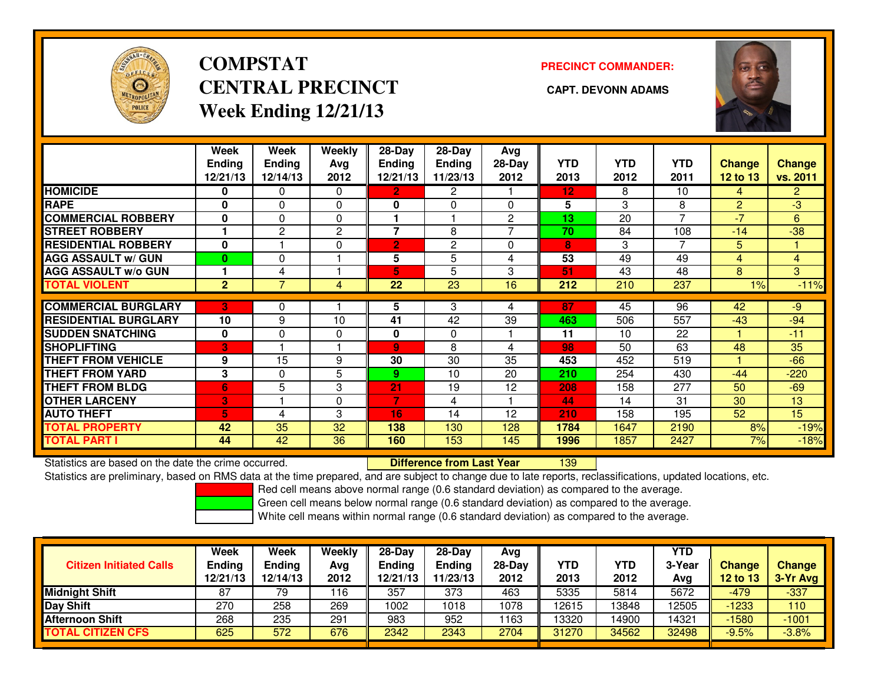

# **COMPSTATCENTRAL PRECINCT CAPT. DEVONN ADAMSWeek Ending 12/21/13**

## **PRECINCT COMMANDER:**



|                             | Week<br><b>Ending</b><br>12/21/13 | Week<br><b>Ending</b><br>12/14/13 | <b>Weekly</b><br>Ava<br>2012 | $28-Day$<br><b>Ending</b><br>12/21/13 | $28$ -Day<br><b>Ending</b><br>11/23/13 | Avg<br>28-Day<br>2012 | <b>YTD</b><br>2013 | <b>YTD</b><br>2012 | <b>YTD</b><br>2011 | <b>Change</b><br>12 to 13 | <b>Change</b><br>vs. 2011 |
|-----------------------------|-----------------------------------|-----------------------------------|------------------------------|---------------------------------------|----------------------------------------|-----------------------|--------------------|--------------------|--------------------|---------------------------|---------------------------|
| <b>HOMICIDE</b>             | 0                                 | 0                                 | 0                            | 2                                     | 2                                      |                       | 12                 | 8                  | 10                 | 4                         | 2 <sup>1</sup>            |
| <b>RAPE</b>                 | $\bf{0}$                          | 0                                 | $\Omega$                     | 0                                     | $\Omega$                               | $\Omega$              | 5                  | 3                  | 8                  | $\overline{2}$            | $-3$                      |
| <b>COMMERCIAL ROBBERY</b>   | 0                                 | 0                                 | 0                            |                                       |                                        | $\overline{2}$        | 13                 | 20                 | $\overline{ }$     | $-7$                      | 6                         |
| <b>STREET ROBBERY</b>       |                                   | 2                                 | 2                            | $\overline{\phantom{a}}$              | 8                                      | 7                     | 70                 | 84                 | 108                | $-14$                     | $-38$                     |
| <b>RESIDENTIAL ROBBERY</b>  | $\mathbf{0}$                      |                                   | 0                            | 2                                     | $\overline{2}$                         | $\Omega$              | 8                  | 3                  | 7                  | 5                         |                           |
| <b>AGG ASSAULT w/ GUN</b>   | 0                                 | 0                                 |                              | 5                                     | 5                                      | 4                     | 53                 | 49                 | 49                 | 4                         | $\overline{4}$            |
| <b>AGG ASSAULT w/o GUN</b>  |                                   | 4                                 |                              | 5                                     | 5                                      | 3                     | 51                 | 43                 | 48                 | 8                         | 3                         |
| <b>TOTAL VIOLENT</b>        | $\overline{2}$                    | 7                                 | 4                            | 22                                    | 23                                     | 16                    | 212                | 210                | 237                | 1%                        | $-11%$                    |
|                             |                                   |                                   |                              |                                       |                                        |                       |                    |                    |                    |                           |                           |
| <b>COMMERCIAL BURGLARY</b>  | $\mathbf{3}^{\prime}$             | 0                                 |                              | 5                                     | 3                                      | 4                     | 87                 | 45                 | 96                 | 42                        | -9                        |
| <b>RESIDENTIAL BURGLARY</b> | 10                                | 9                                 | 10                           | 41                                    | 42                                     | 39                    | 463                | 506                | 557                | $-43$                     | $-94$                     |
| <b>SUDDEN SNATCHING</b>     | 0                                 | 0                                 | 0                            | 0                                     | 0                                      |                       | 11                 | 10                 | 22                 |                           | $-11$                     |
| <b>SHOPLIFTING</b>          | $\mathbf{3}^{\prime}$             |                                   |                              | $\mathbf{Q}$                          | 8                                      | 4                     | 98                 | 50                 | 63                 | 48                        | 35                        |
| <b>THEFT FROM VEHICLE</b>   | 9                                 | 15                                | 9                            | 30                                    | 30                                     | 35                    | 453                | 452                | 519                |                           | $-66$                     |
| <b>THEFT FROM YARD</b>      | 3                                 | 0                                 | 5                            | 9                                     | 10                                     | 20                    | 210                | 254                | 430                | $-44$                     | $-220$                    |
| <b>THEFT FROM BLDG</b>      | 6                                 | 5                                 | 3                            | 21                                    | 19                                     | 12                    | 208                | 158                | 277                | 50                        | $-69$                     |
| <b>OTHER LARCENY</b>        | <b>3</b>                          |                                   | 0                            | 7                                     | 4                                      |                       | 44                 | 14                 | 31                 | 30                        | 13                        |
| <b>AUTO THEFT</b>           | 5                                 | 4                                 | 3                            | 16                                    | 14                                     | 12                    | 210                | 158                | 195                | 52                        | 15                        |
| <b>TOTAL PROPERTY</b>       | 42                                | 35                                | 32                           | 138                                   | 130                                    | 128                   | 1784               | 1647               | 2190               | 8%                        | $-19%$                    |
| <b>TOTAL PART I</b>         | 44                                | 42                                | 36                           | 160                                   | 153                                    | 145                   | 1996               | 1857               | 2427               | 7%                        | $-18%$                    |

Statistics are based on the date the crime occurred. **Difference from Last Year** 

<sup>139</sup>

Statistics are preliminary, based on RMS data at the time prepared, and are subject to change due to late reports, reclassifications, updated locations, etc.

Red cell means above normal range (0.6 standard deviation) as compared to the average.

Green cell means below normal range (0.6 standard deviation) as compared to the average.

| <b>Citizen Initiated Calls</b> | <b>Week</b><br><b>Ending</b><br>12/21/13 | Week<br>Ending<br>12/14/13 | Weekly<br>Avg<br>2012 | $28-Day$<br><b>Ending</b><br>12/21/13 | $28-Dav$<br>Ending<br>11/23/13 | Avg<br>$28-Day$<br>2012 | <b>YTD</b><br>2013 | <b>YTD</b><br>2012 | YTD<br>3-Year<br>Avg | <b>Change</b><br>12 to 13 | <b>Change</b><br>3-Yr Avg |
|--------------------------------|------------------------------------------|----------------------------|-----------------------|---------------------------------------|--------------------------------|-------------------------|--------------------|--------------------|----------------------|---------------------------|---------------------------|
| <b>Midnight Shift</b>          | 87                                       | 79                         | 116                   | 357                                   | 373                            | 463                     | 5335               | 5814               | 5672                 | -479                      | $-337$                    |
| Day Shift                      | 270                                      | 258                        | 269                   | 1002                                  | 1018                           | 1078                    | 12615              | 13848              | 2505                 | -1233                     | 110                       |
| <b>Afternoon Shift</b>         | 268                                      | 235                        | 291                   | 983                                   | 952                            | 163                     | 13320              | 14900              | 4321ء                | $-1580$                   | $-1001$                   |
| <b>TOTAL CITIZEN CFS</b>       | 625                                      | 572                        | 676                   | 2342                                  | 2343                           | 2704                    | 31270              | 34562              | 32498                | $-9.5%$                   | $-3.8%$                   |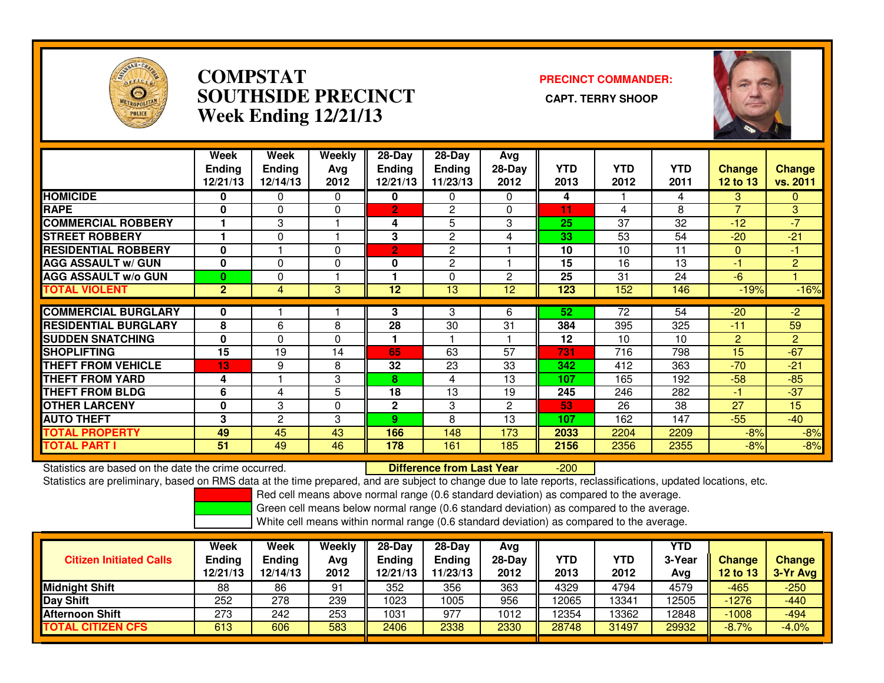

## **COMPSTAT PRECINCT COMMANDER: SOUTHSIDE PRECINCT CAPT. TERRY SHOOPWeek Ending 12/21/13**



|                             | Week<br><b>Ending</b><br>12/21/13 | Week<br><b>Ending</b><br>12/14/13 | Weekly<br>Ava<br>2012 | $28-Day$<br><b>Ending</b><br>12/21/13 | $28-Day$<br><b>Ending</b><br>11/23/13 | Avg<br>$28-Day$<br>2012 | <b>YTD</b><br>2013 | <b>YTD</b><br>2012 | <b>YTD</b><br>2011 | <b>Change</b><br><b>12 to 13</b> | Change<br>vs. 2011 |
|-----------------------------|-----------------------------------|-----------------------------------|-----------------------|---------------------------------------|---------------------------------------|-------------------------|--------------------|--------------------|--------------------|----------------------------------|--------------------|
| <b>HOMICIDE</b>             | 0                                 | 0                                 | $\mathbf{0}$          | 0                                     | 0                                     | $\Omega$                | 4                  |                    | 4                  | 3                                | $\mathbf{0}$       |
| <b>RAPE</b>                 | 0                                 | 0                                 | $\Omega$              | $\overline{2}$                        | 2                                     | 0                       | 11                 | 4                  | 8                  |                                  | 3                  |
| <b>COMMERCIAL ROBBERY</b>   |                                   | 3                                 |                       | 4                                     | 5                                     | 3                       | 25                 | 37                 | 32                 | $-12$                            | $-7$               |
| <b>STREET ROBBERY</b>       | 1                                 | $\Omega$                          |                       | 3                                     | $\overline{c}$                        | 4                       | 33                 | 53                 | 54                 | $-20$                            | $-21$              |
| <b>RESIDENTIAL ROBBERY</b>  | 0                                 |                                   | $\Omega$              | $\overline{2}$                        | $\overline{c}$                        |                         | 10                 | 10                 | 11                 | $\Omega$                         | $-1$               |
| <b>AGG ASSAULT w/ GUN</b>   | 0                                 | 0                                 | $\mathbf 0$           | 0                                     | $\overline{c}$                        |                         | 15                 | 16                 | 13                 | -1                               | $\overline{2}$     |
| <b>AGG ASSAULT w/o GUN</b>  | $\bf{0}$                          | 0                                 |                       |                                       | $\Omega$                              | $\overline{2}$          | 25                 | 31                 | 24                 | $-6$                             |                    |
| <b>TOTAL VIOLENT</b>        | $\mathbf{2}$                      | 4                                 | 3                     | 12                                    | 13                                    | 12                      | 123                | 152                | 146                | $-19%$                           | $-16%$             |
|                             |                                   |                                   |                       |                                       |                                       |                         |                    |                    |                    |                                  |                    |
| <b>COMMERCIAL BURGLARY</b>  | 0                                 |                                   |                       | 3                                     | 3                                     | 6                       | 52                 | 72                 | 54                 | $-20$                            | -2                 |
| <b>RESIDENTIAL BURGLARY</b> | 8                                 | 6                                 | 8                     | 28                                    | 30                                    | 31                      | 384                | 395                | 325                | $-11$                            | 59                 |
| <b>SUDDEN SNATCHING</b>     | 0                                 | 0                                 | $\Omega$              |                                       |                                       |                         | 12                 | 10                 | 10                 | $\overline{2}$                   | $\overline{2}$     |
| <b>SHOPLIFTING</b>          | 15                                | 19                                | 14                    | 65                                    | 63                                    | 57                      | 731                | 716                | 798                | 15                               | $-67$              |
| <b>THEFT FROM VEHICLE</b>   | 13                                | 9                                 | 8                     | 32                                    | 23                                    | 33                      | 342                | 412                | 363                | $-70$                            | $-21$              |
| <b>THEFT FROM YARD</b>      | 4                                 |                                   | 3                     | 8                                     | 4                                     | 13                      | 107                | 165                | 192                | $-58$                            | $-85$              |
| <b>THEFT FROM BLDG</b>      | 6                                 | 4                                 | 5                     | 18                                    | 13                                    | 19                      | 245                | 246                | 282                | $-1$                             | $-37$              |
| <b>OTHER LARCENY</b>        | 0                                 | 3                                 | $\Omega$              | $\mathbf{2}$                          | 3                                     | $\mathbf{2}$            | 53                 | 26                 | 38                 | 27                               | 15                 |
| <b>AUTO THEFT</b>           | 3                                 | $\overline{2}$                    | 3                     | 9                                     | 8                                     | 13                      | 107                | 162                | 147                | $-55$                            | $-40$              |
| <b>TOTAL PROPERTY</b>       | 49                                | 45                                | 43                    | 166                                   | 148                                   | 173                     | 2033               | 2204               | 2209               | $-8%$                            | $-8%$              |
| <b>TOTAL PART I</b>         | 51                                | 49                                | 46                    | 178                                   | 161                                   | 185                     | 2156               | 2356               | 2355               | $-8%$                            | $-8%$              |

Statistics are based on the date the crime occurred. **Difference from Last Year** 

-200

Statistics are preliminary, based on RMS data at the time prepared, and are subject to change due to late reports, reclassifications, updated locations, etc.

Red cell means above normal range (0.6 standard deviation) as compared to the average.

Green cell means below normal range (0.6 standard deviation) as compared to the average.

| <b>Citizen Initiated Calls</b> | <b>Week</b><br><b>Ending</b><br>12/21/13 | Week<br><b>Ending</b><br>12/14/13 | Weekly<br>Avg<br>2012 | $28-Day$<br><b>Ending</b><br>12/21/13 | 28-Dav<br><b>Ending</b><br>11/23/13 | Avg<br>28-Day<br>2012 | YTD<br>2013 | YTD<br>2012 | YTD<br>3-Year<br>Avg | <b>Change</b><br>12 to 13 | <b>Change</b><br>3-Yr Avg |
|--------------------------------|------------------------------------------|-----------------------------------|-----------------------|---------------------------------------|-------------------------------------|-----------------------|-------------|-------------|----------------------|---------------------------|---------------------------|
| <b>Midnight Shift</b>          | 88                                       | 86                                | 91                    | 352                                   | 356                                 | 363                   | 4329        | 4794        | 4579                 | -465                      | $-250$                    |
| Day Shift                      | 252                                      | 278                               | 239                   | 1023                                  | 1005                                | 956                   | 12065       | 13341       | 12505                | $-1276$                   | $-440$                    |
| <b>Afternoon Shift</b>         | 273                                      | 242                               | 253                   | 1031                                  | 977                                 | 1012                  | 12354       | 13362       | 12848                | $-1008$                   | $-494$                    |
| <b>TOTAL CITIZEN CFS</b>       | 613                                      | 606                               | 583                   | 2406                                  | 2338                                | 2330                  | 28748       | 31497       | 29932                | $-8.7%$                   | $-4.0%$                   |